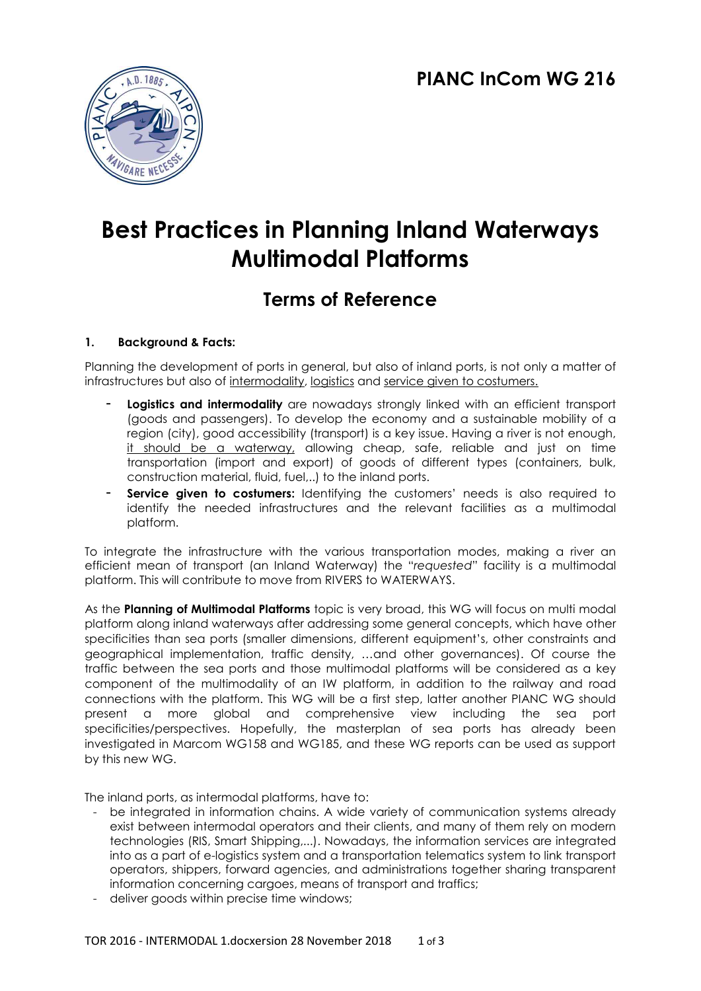

# **Best Practices in Planning Inland Waterways Multimodal Platforms**

# **Terms of Reference**

# **1. Background & Facts:**

Planning the development of ports in general, but also of inland ports, is not only a matter of infrastructures but also of intermodality, logistics and service given to costumers.

- Logistics and intermodality are nowadays strongly linked with an efficient transport (goods and passengers). To develop the economy and a sustainable mobility of a region (city), good accessibility (transport) is a key issue. Having a river is not enough, it should be a waterway, allowing cheap, safe, reliable and just on time transportation (import and export) of goods of different types (containers, bulk, construction material, fluid, fuel,..) to the inland ports.
- Service given to costumers: Identifying the customers' needs is also required to identify the needed infrastructures and the relevant facilities as a multimodal platform.

To integrate the infrastructure with the various transportation modes, making a river an efficient mean of transport (an Inland Waterway) the "*requested*" facility is a multimodal platform. This will contribute to move from RIVERS to WATERWAYS.

As the **Planning of Multimodal Platforms** topic is very broad, this WG will focus on multi modal platform along inland waterways after addressing some general concepts, which have other specificities than sea ports (smaller dimensions, different equipment's, other constraints and geographical implementation, traffic density, …and other governances). Of course the traffic between the sea ports and those multimodal platforms will be considered as a key component of the multimodality of an IW platform, in addition to the railway and road connections with the platform. This WG will be a first step, latter another PIANC WG should present a more global and comprehensive view including the sea port specificities/perspectives. Hopefully, the masterplan of sea ports has already been investigated in Marcom WG158 and WG185, and these WG reports can be used as support by this new WG.

The inland ports, as intermodal platforms, have to:

- be integrated in information chains. A wide variety of communication systems already exist between intermodal operators and their clients, and many of them rely on modern technologies (RIS, Smart Shipping,...). Nowadays, the information services are integrated into as a part of e-logistics system and a transportation telematics system to link transport operators, shippers, forward agencies, and administrations together sharing transparent information concerning cargoes, means of transport and traffics;
- deliver goods within precise time windows;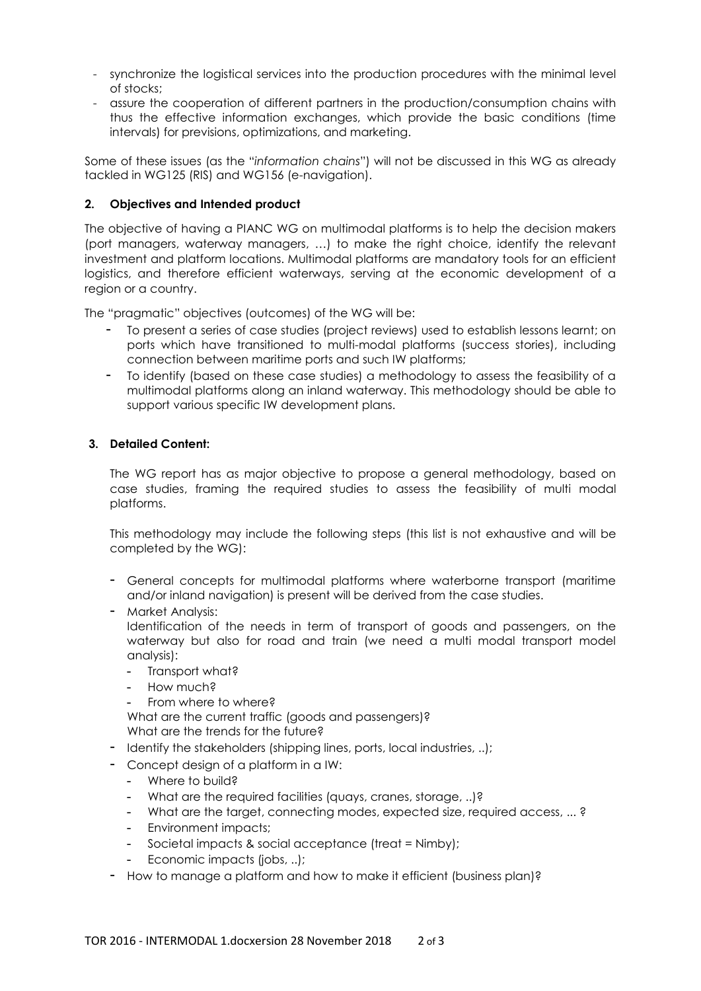- synchronize the logistical services into the production procedures with the minimal level of stocks;
- assure the cooperation of different partners in the production/consumption chains with thus the effective information exchanges, which provide the basic conditions (time intervals) for previsions, optimizations, and marketing.

Some of these issues (as the "*information chains*") will not be discussed in this WG as already tackled in WG125 (RIS) and WG156 (e-navigation).

## **2. Objectives and Intended product**

The objective of having a PIANC WG on multimodal platforms is to help the decision makers (port managers, waterway managers, …) to make the right choice, identify the relevant investment and platform locations. Multimodal platforms are mandatory tools for an efficient logistics, and therefore efficient waterways, serving at the economic development of a region or a country.

The "pragmatic" objectives (outcomes) of the WG will be:

- To present a series of case studies (project reviews) used to establish lessons learnt; on ports which have transitioned to multi-modal platforms (success stories), including connection between maritime ports and such IW platforms;
- To identify (based on these case studies) a methodology to assess the feasibility of a multimodal platforms along an inland waterway. This methodology should be able to support various specific IW development plans.

#### **3. Detailed Content:**

The WG report has as major objective to propose a general methodology, based on case studies, framing the required studies to assess the feasibility of multi modal platforms.

This methodology may include the following steps (this list is not exhaustive and will be completed by the WG):

- General concepts for multimodal platforms where waterborne transport (maritime and/or inland navigation) is present will be derived from the case studies.
- Market Analysis:

Identification of the needs in term of transport of goods and passengers, on the waterway but also for road and train (we need a multi modal transport model analysis):

- Transport what?
- How much?
- From where to where?

What are the current traffic (goods and passengers)? What are the trends for the future?

- Identify the stakeholders (shipping lines, ports, local industries, ..);
- Concept design of a platform in a IW:
	- Where to build?
	- What are the required facilities (quays, cranes, storage, ..)?
	- What are the target, connecting modes, expected size, required access, ...?
	- Environment impacts;
	- Societal impacts & social acceptance (treat = Nimby);
	- Economic impacts (jobs, ..);
- How to manage a platform and how to make it efficient (business plan)?